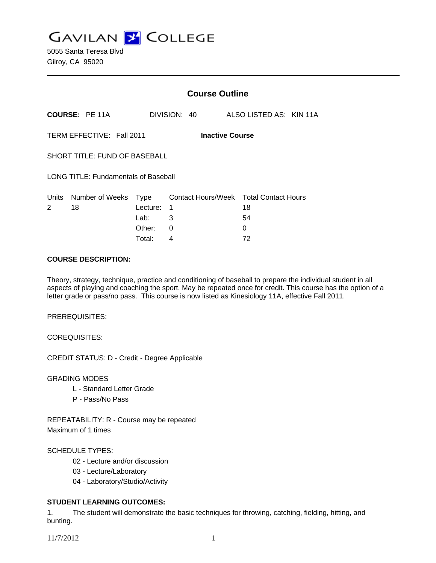**GAVILAN J COLLEGE** 

|                                                     |                                  | <b>Course Outline</b>                                                                  |              |               |                         |  |
|-----------------------------------------------------|----------------------------------|----------------------------------------------------------------------------------------|--------------|---------------|-------------------------|--|
|                                                     | <b>COURSE: PE 11A</b>            |                                                                                        | DIVISION: 40 |               | ALSO LISTED AS: KIN 11A |  |
| TERM EFFECTIVE: Fall 2011<br><b>Inactive Course</b> |                                  |                                                                                        |              |               |                         |  |
| SHORT TITLE: FUND OF BASEBALL                       |                                  |                                                                                        |              |               |                         |  |
| <b>LONG TITLE: Fundamentals of Baseball</b>         |                                  |                                                                                        |              |               |                         |  |
| 2                                                   | Units Number of Weeks Type<br>18 | Contact Hours/Week Total Contact Hours<br>Lecture:<br>1<br>3<br>Lab: __<br>Other:<br>0 |              | 18<br>54<br>0 |                         |  |
|                                                     |                                  | Total:                                                                                 | 4            |               | 72                      |  |

## **COURSE DESCRIPTION:**

Theory, strategy, technique, practice and conditioning of baseball to prepare the individual student in all aspects of playing and coaching the sport. May be repeated once for credit. This course has the option of a letter grade or pass/no pass. This course is now listed as Kinesiology 11A, effective Fall 2011.

PREREQUISITES:

COREQUISITES:

CREDIT STATUS: D - Credit - Degree Applicable

GRADING MODES

- L Standard Letter Grade
- P Pass/No Pass

REPEATABILITY: R - Course may be repeated Maximum of 1 times

#### SCHEDULE TYPES:

- 02 Lecture and/or discussion
- 03 Lecture/Laboratory
- 04 Laboratory/Studio/Activity

# **STUDENT LEARNING OUTCOMES:**

1. The student will demonstrate the basic techniques for throwing, catching, fielding, hitting, and bunting.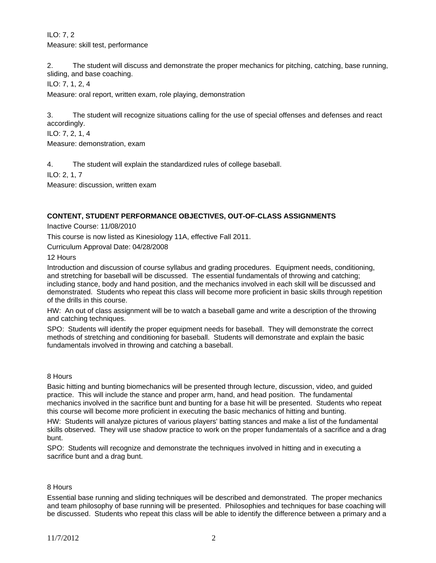ILO: 7, 2 Measure: skill test, performance

2. The student will discuss and demonstrate the proper mechanics for pitching, catching, base running, sliding, and base coaching.

ILO: 7, 1, 2, 4

Measure: oral report, written exam, role playing, demonstration

3. The student will recognize situations calling for the use of special offenses and defenses and react accordingly.

ILO: 7, 2, 1, 4

Measure: demonstration, exam

4. The student will explain the standardized rules of college baseball.

ILO: 2, 1, 7

Measure: discussion, written exam

## **CONTENT, STUDENT PERFORMANCE OBJECTIVES, OUT-OF-CLASS ASSIGNMENTS**

Inactive Course: 11/08/2010

This course is now listed as Kinesiology 11A, effective Fall 2011.

Curriculum Approval Date: 04/28/2008

12 Hours

Introduction and discussion of course syllabus and grading procedures. Equipment needs, conditioning, and stretching for baseball will be discussed. The essential fundamentals of throwing and catching; including stance, body and hand position, and the mechanics involved in each skill will be discussed and demonstrated. Students who repeat this class will become more proficient in basic skills through repetition of the drills in this course.

HW: An out of class assignment will be to watch a baseball game and write a description of the throwing and catching techniques.

SPO: Students will identify the proper equipment needs for baseball. They will demonstrate the correct methods of stretching and conditioning for baseball. Students will demonstrate and explain the basic fundamentals involved in throwing and catching a baseball.

#### 8 Hours

Basic hitting and bunting biomechanics will be presented through lecture, discussion, video, and guided practice. This will include the stance and proper arm, hand, and head position. The fundamental mechanics involved in the sacrifice bunt and bunting for a base hit will be presented. Students who repeat this course will become more proficient in executing the basic mechanics of hitting and bunting.

HW: Students will analyze pictures of various players' batting stances and make a list of the fundamental skills observed. They will use shadow practice to work on the proper fundamentals of a sacrifice and a drag bunt.

SPO: Students will recognize and demonstrate the techniques involved in hitting and in executing a sacrifice bunt and a drag bunt.

#### 8 Hours

Essential base running and sliding techniques will be described and demonstrated. The proper mechanics and team philosophy of base running will be presented. Philosophies and techniques for base coaching will be discussed. Students who repeat this class will be able to identify the difference between a primary and a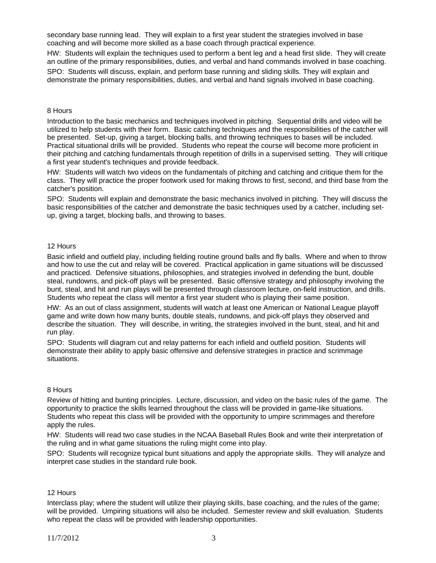secondary base running lead. They will explain to a first year student the strategies involved in base coaching and will become more skilled as a base coach through practical experience.

HW: Students will explain the techniques used to perform a bent leg and a head first slide. They will create an outline of the primary responsibilities, duties, and verbal and hand commands involved in base coaching.

SPO: Students will discuss, explain, and perform base running and sliding skills. They will explain and demonstrate the primary responsibilities, duties, and verbal and hand signals involved in base coaching.

#### 8 Hours

Introduction to the basic mechanics and techniques involved in pitching. Sequential drills and video will be utilized to help students with their form. Basic catching techniques and the responsibilities of the catcher will be presented. Set-up, giving a target, blocking balls, and throwing techniques to bases will be included. Practical situational drills will be provided. Students who repeat the course will become more proficient in their pitching and catching fundamentals through repetition of drills in a supervised setting. They will critique a first year student's techniques and provide feedback.

HW: Students will watch two videos on the fundamentals of pitching and catching and critique them for the class. They will practice the proper footwork used for making throws to first, second, and third base from the catcher's position.

SPO: Students will explain and demonstrate the basic mechanics involved in pitching. They will discuss the basic responsibilities of the catcher and demonstrate the basic techniques used by a catcher, including setup, giving a target, blocking balls, and throwing to bases.

## 12 Hours

Basic infield and outfield play, including fielding routine ground balls and fly balls. Where and when to throw and how to use the cut and relay will be covered. Practical application in game situations will be discussed and practiced. Defensive situations, philosophies, and strategies involved in defending the bunt, double steal, rundowns, and pick-off plays will be presented. Basic offensive strategy and philosophy involving the bunt, steal, and hit and run plays will be presented through classroom lecture, on-field instruction, and drills. Students who repeat the class will mentor a first year student who is playing their same position.

HW: As an out of class assignment, students will watch at least one American or National League playoff game and write down how many bunts, double steals, rundowns, and pick-off plays they observed and describe the situation. They will describe, in writing, the strategies involved in the bunt, steal, and hit and run play.

SPO: Students will diagram cut and relay patterns for each infield and outfield position. Students will demonstrate their ability to apply basic offensive and defensive strategies in practice and scrimmage situations.

#### 8 Hours

Review of hitting and bunting principles. Lecture, discussion, and video on the basic rules of the game. The opportunity to practice the skills learned throughout the class will be provided in game-like situations. Students who repeat this class will be provided with the opportunity to umpire scrimmages and therefore apply the rules.

HW: Students will read two case studies in the NCAA Baseball Rules Book and write their interpretation of the ruling and in what game situations the ruling might come into play.

SPO: Students will recognize typical bunt situations and apply the appropriate skills. They will analyze and interpret case studies in the standard rule book.

#### 12 Hours

Interclass play; where the student will utilize their playing skills, base coaching, and the rules of the game; will be provided. Umpiring situations will also be included. Semester review and skill evaluation. Students who repeat the class will be provided with leadership opportunities.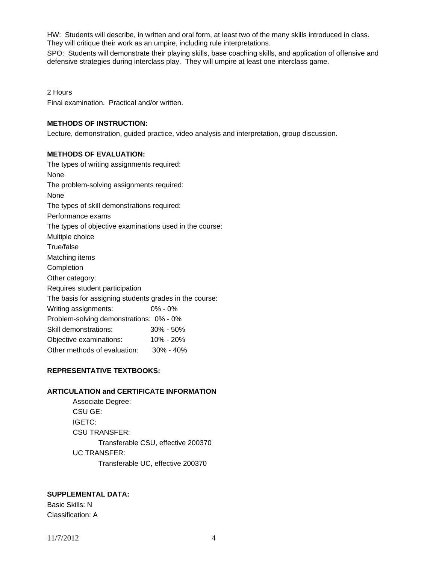HW: Students will describe, in written and oral form, at least two of the many skills introduced in class. They will critique their work as an umpire, including rule interpretations.

SPO: Students will demonstrate their playing skills, base coaching skills, and application of offensive and defensive strategies during interclass play. They will umpire at least one interclass game.

2 Hours

Final examination. Practical and/or written.

## **METHODS OF INSTRUCTION:**

Lecture, demonstration, guided practice, video analysis and interpretation, group discussion.

## **METHODS OF EVALUATION:**

The types of writing assignments required: None The problem-solving assignments required: None The types of skill demonstrations required: Performance exams The types of objective examinations used in the course: Multiple choice True/false Matching items **Completion** Other category: Requires student participation The basis for assigning students grades in the course: Writing assignments: 0% - 0% Problem-solving demonstrations: 0% - 0% Skill demonstrations: 30% - 50% Objective examinations: 10% - 20% Other methods of evaluation: 30% - 40%

## **REPRESENTATIVE TEXTBOOKS:**

## **ARTICULATION and CERTIFICATE INFORMATION**

 Associate Degree: CSU GE: IGETC: CSU TRANSFER: Transferable CSU, effective 200370 UC TRANSFER: Transferable UC, effective 200370

# **SUPPLEMENTAL DATA:**

Basic Skills: N Classification: A